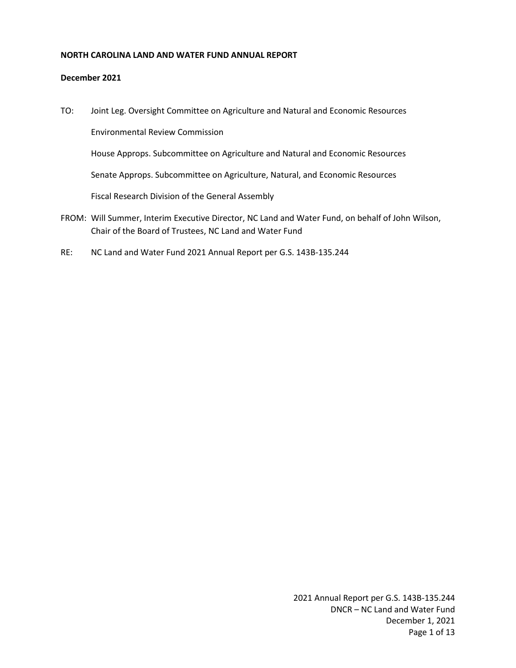## **NORTH CAROLINA LAND AND WATER FUND ANNUAL REPORT**

#### **December 2021**

- TO: Joint Leg. Oversight Committee on Agriculture and Natural and Economic Resources Environmental Review Commission House Approps. Subcommittee on Agriculture and Natural and Economic Resources Senate Approps. Subcommittee on Agriculture, Natural, and Economic Resources Fiscal Research Division of the General Assembly FROM: Will Summer, Interim Executive Director, NC Land and Water Fund, on behalf of John Wilson,
- Chair of the Board of Trustees, NC Land and Water Fund
- RE: NC Land and Water Fund 2021 Annual Report per G.S. 143B-135.244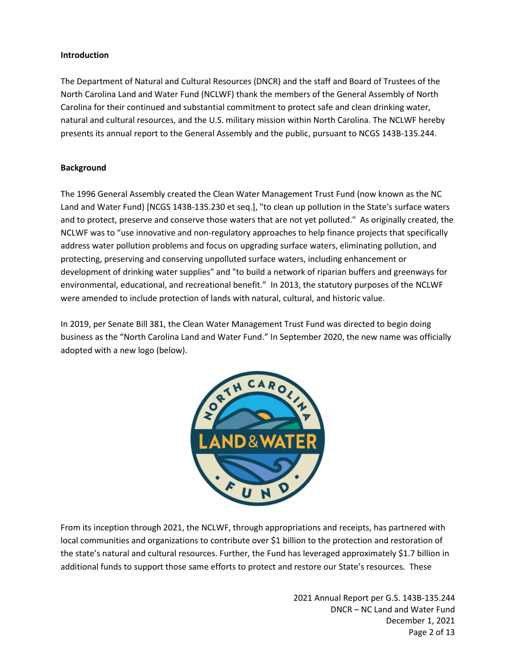# **Introduction**

The Department of Natural and Cultural Resources (DNCR) and the staff and Board of Trustees of the North Carolina Land and Water Fund (NCLWF) thank the members of the General Assembly of North Carolina for their continued and substantial commitment to protect safe and clean drinking water, natural and cultural resources, and the U.S. military mission within North Carolina. The NCLWF hereby presents its annual report to the General Assembly and the public, pursuant to NCGS 143B-135.244.

# **Background**

The 1996 General Assembly created the Clean Water Management Trust Fund (now known as the NC Land and Water Fund) [NCGS 143B-135.230 et seq.], "to clean up pollution in the State's surface waters and to protect, preserve and conserve those waters that are not yet polluted." As originally created, the NCLWF was to "use innovative and non-regulatory approaches to help finance projects that specifically address water pollution problems and focus on upgrading surface waters, eliminating pollution, and protecting, preserving and conserving unpolluted surface waters, including enhancement or development of drinking water supplies" and "to build a network of riparian buffers and greenways for environmental, educational, and recreational benefit." In 2013, the statutory purposes of the NCLWF were amended to include protection of lands with natural, cultural, and historic value.

In 2019, per Senate Bill 381, the Clean Water Management Trust Fund was directed to begin doing business as the "North Carolina Land and Water Fund." In September 2020, the new name was officially adopted with a new logo (below).



From its inception through 2021, the NCLWF, through appropriations and receipts, has partnered with local communities and organizations to contribute over \$1 billion to the protection and restoration of the state's natural and cultural resources. Further, the Fund has leveraged approximately \$1.7 billion in additional funds to support those same efforts to protect and restore our State's resources. These

> 2021 Annual Report per G.S. 143B-135.244 DNCR – NC Land and Water Fund December 1, 2021 Page 2 of 13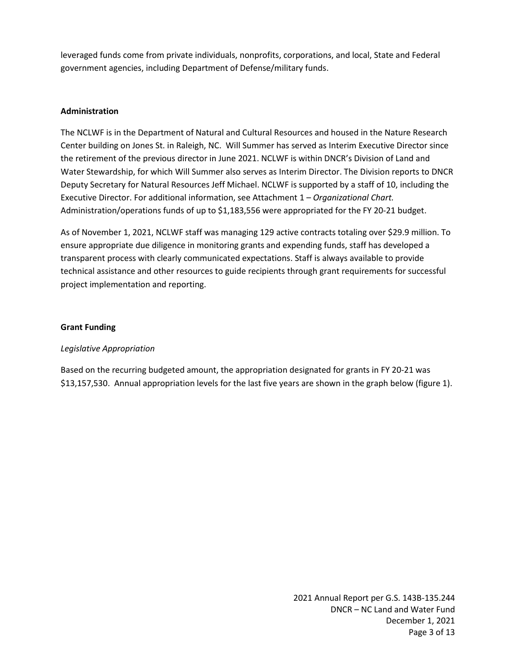leveraged funds come from private individuals, nonprofits, corporations, and local, State and Federal government agencies, including Department of Defense/military funds.

# **Administration**

The NCLWF is in the Department of Natural and Cultural Resources and housed in the Nature Research Center building on Jones St. in Raleigh, NC. Will Summer has served as Interim Executive Director since the retirement of the previous director in June 2021. NCLWF is within DNCR's Division of Land and Water Stewardship, for which Will Summer also serves as Interim Director. The Division reports to DNCR Deputy Secretary for Natural Resources Jeff Michael. NCLWF is supported by a staff of 10, including the Executive Director. For additional information, see Attachment 1 – *Organizational Chart.* Administration/operations funds of up to \$1,183,556 were appropriated for the FY 20-21 budget.

As of November 1, 2021, NCLWF staff was managing 129 active contracts totaling over \$29.9 million. To ensure appropriate due diligence in monitoring grants and expending funds, staff has developed a transparent process with clearly communicated expectations. Staff is always available to provide technical assistance and other resources to guide recipients through grant requirements for successful project implementation and reporting.

## **Grant Funding**

## *Legislative Appropriation*

Based on the recurring budgeted amount, the appropriation designated for grants in FY 20-21 was \$13,157,530. Annual appropriation levels for the last five years are shown in the graph below (figure 1).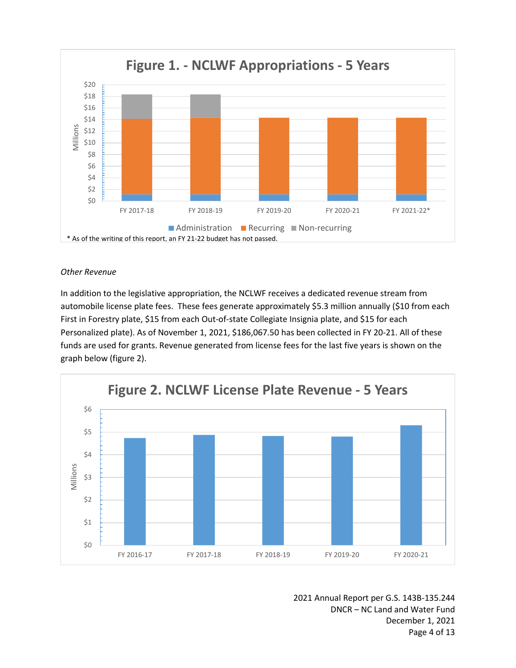

## *Other Revenue*

In addition to the legislative appropriation, the NCLWF receives a dedicated revenue stream from automobile license plate fees. These fees generate approximately \$5.3 million annually (\$10 from each First in Forestry plate, \$15 from each Out-of-state Collegiate Insignia plate, and \$15 for each Personalized plate). As of November 1, 2021, \$186,067.50 has been collected in FY 20-21. All of these funds are used for grants. Revenue generated from license fees for the last five years is shown on the graph below (figure 2).



2021 Annual Report per G.S. 143B-135.244 DNCR – NC Land and Water Fund December 1, 2021 Page 4 of 13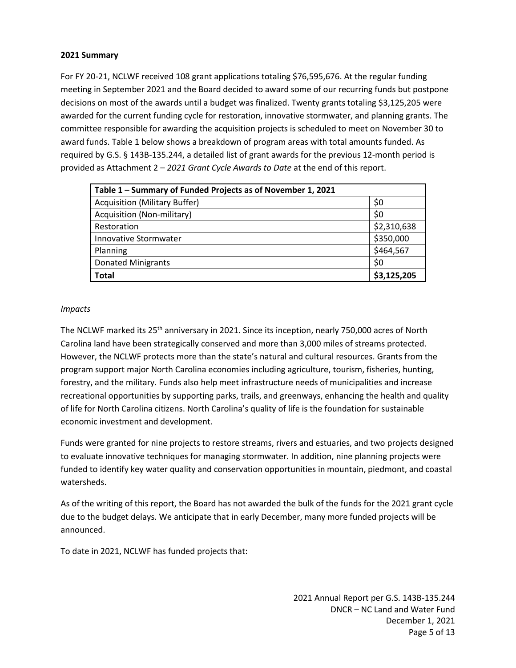#### **2021 Summary**

For FY 20-21, NCLWF received 108 grant applications totaling \$76,595,676. At the regular funding meeting in September 2021 and the Board decided to award some of our recurring funds but postpone decisions on most of the awards until a budget was finalized. Twenty grants totaling \$3,125,205 were awarded for the current funding cycle for restoration, innovative stormwater, and planning grants. The committee responsible for awarding the acquisition projects is scheduled to meet on November 30 to award funds. Table 1 below shows a breakdown of program areas with total amounts funded. As required by G.S. § 143B-135.244, a detailed list of grant awards for the previous 12-month period is provided as Attachment 2 – *2021 Grant Cycle Awards to Date* at the end of this report.

| Table 1 - Summary of Funded Projects as of November 1, 2021 |             |  |  |
|-------------------------------------------------------------|-------------|--|--|
| <b>Acquisition (Military Buffer)</b>                        | \$0         |  |  |
| Acquisition (Non-military)                                  | \$0         |  |  |
| Restoration                                                 | \$2,310,638 |  |  |
| <b>Innovative Stormwater</b>                                | \$350,000   |  |  |
| Planning                                                    | \$464,567   |  |  |
| <b>Donated Minigrants</b>                                   | \$0         |  |  |
| <b>Total</b>                                                | \$3,125,205 |  |  |

## *Impacts*

The NCLWF marked its 25<sup>th</sup> anniversary in 2021. Since its inception, nearly 750,000 acres of North Carolina land have been strategically conserved and more than 3,000 miles of streams protected. However, the NCLWF protects more than the state's natural and cultural resources. Grants from the program support major North Carolina economies including agriculture, tourism, fisheries, hunting, forestry, and the military. Funds also help meet infrastructure needs of municipalities and increase recreational opportunities by supporting parks, trails, and greenways, enhancing the health and quality of life for North Carolina citizens. North Carolina's quality of life is the foundation for sustainable economic investment and development.

Funds were granted for nine projects to restore streams, rivers and estuaries, and two projects designed to evaluate innovative techniques for managing stormwater. In addition, nine planning projects were funded to identify key water quality and conservation opportunities in mountain, piedmont, and coastal watersheds.

As of the writing of this report, the Board has not awarded the bulk of the funds for the 2021 grant cycle due to the budget delays. We anticipate that in early December, many more funded projects will be announced.

To date in 2021, NCLWF has funded projects that:

2021 Annual Report per G.S. 143B-135.244 DNCR – NC Land and Water Fund December 1, 2021 Page 5 of 13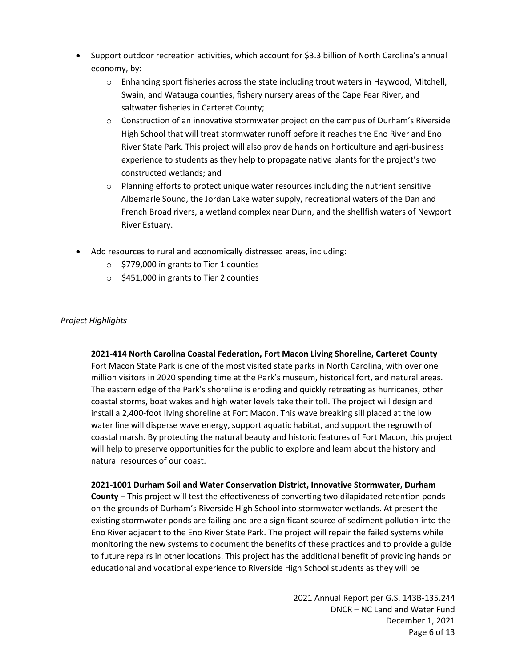- Support outdoor recreation activities, which account for \$3.3 billion of North Carolina's annual economy, by:
	- $\circ$  Enhancing sport fisheries across the state including trout waters in Haywood, Mitchell, Swain, and Watauga counties, fishery nursery areas of the Cape Fear River, and saltwater fisheries in Carteret County;
	- $\circ$  Construction of an innovative stormwater project on the campus of Durham's Riverside High School that will treat stormwater runoff before it reaches the Eno River and Eno River State Park. This project will also provide hands on horticulture and agri-business experience to students as they help to propagate native plants for the project's two constructed wetlands; and
	- $\circ$  Planning efforts to protect unique water resources including the nutrient sensitive Albemarle Sound, the Jordan Lake water supply, recreational waters of the Dan and French Broad rivers, a wetland complex near Dunn, and the shellfish waters of Newport River Estuary.
- Add resources to rural and economically distressed areas, including:
	- o \$779,000 in grants to Tier 1 counties
	- o \$451,000 in grants to Tier 2 counties

## *Project Highlights*

**2021-414 North Carolina Coastal Federation, Fort Macon Living Shoreline, Carteret County** – Fort Macon State Park is one of the most visited state parks in North Carolina, with over one million visitors in 2020 spending time at the Park's museum, historical fort, and natural areas. The eastern edge of the Park's shoreline is eroding and quickly retreating as hurricanes, other coastal storms, boat wakes and high water levels take their toll. The project will design and install a 2,400-foot living shoreline at Fort Macon. This wave breaking sill placed at the low water line will disperse wave energy, support aquatic habitat, and support the regrowth of coastal marsh. By protecting the natural beauty and historic features of Fort Macon, this project will help to preserve opportunities for the public to explore and learn about the history and natural resources of our coast.

**2021-1001 Durham Soil and Water Conservation District, Innovative Stormwater, Durham County** – This project will test the effectiveness of converting two dilapidated retention ponds on the grounds of Durham's Riverside High School into stormwater wetlands. At present the existing stormwater ponds are failing and are a significant source of sediment pollution into the Eno River adjacent to the Eno River State Park. The project will repair the failed systems while monitoring the new systems to document the benefits of these practices and to provide a guide to future repairs in other locations. This project has the additional benefit of providing hands on educational and vocational experience to Riverside High School students as they will be

> 2021 Annual Report per G.S. 143B-135.244 DNCR – NC Land and Water Fund December 1, 2021 Page 6 of 13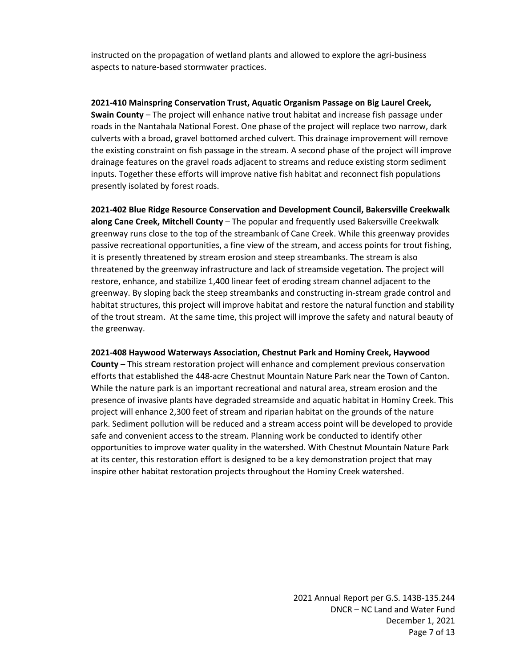instructed on the propagation of wetland plants and allowed to explore the agri-business aspects to nature-based stormwater practices.

**2021-410 Mainspring Conservation Trust, Aquatic Organism Passage on Big Laurel Creek, Swain County** – The project will enhance native trout habitat and increase fish passage under roads in the Nantahala National Forest. One phase of the project will replace two narrow, dark culverts with a broad, gravel bottomed arched culvert. This drainage improvement will remove the existing constraint on fish passage in the stream. A second phase of the project will improve drainage features on the gravel roads adjacent to streams and reduce existing storm sediment inputs. Together these efforts will improve native fish habitat and reconnect fish populations presently isolated by forest roads.

**2021-402 Blue Ridge Resource Conservation and Development Council, Bakersville Creekwalk along Cane Creek, Mitchell County** – The popular and frequently used Bakersville Creekwalk greenway runs close to the top of the streambank of Cane Creek. While this greenway provides passive recreational opportunities, a fine view of the stream, and access points for trout fishing, it is presently threatened by stream erosion and steep streambanks. The stream is also threatened by the greenway infrastructure and lack of streamside vegetation. The project will restore, enhance, and stabilize 1,400 linear feet of eroding stream channel adjacent to the greenway. By sloping back the steep streambanks and constructing in-stream grade control and habitat structures, this project will improve habitat and restore the natural function and stability of the trout stream. At the same time, this project will improve the safety and natural beauty of the greenway.

#### **2021-408 Haywood Waterways Association, Chestnut Park and Hominy Creek, Haywood**

**County** – This stream restoration project will enhance and complement previous conservation efforts that established the 448-acre Chestnut Mountain Nature Park near the Town of Canton. While the nature park is an important recreational and natural area, stream erosion and the presence of invasive plants have degraded streamside and aquatic habitat in Hominy Creek. This project will enhance 2,300 feet of stream and riparian habitat on the grounds of the nature park. Sediment pollution will be reduced and a stream access point will be developed to provide safe and convenient access to the stream. Planning work be conducted to identify other opportunities to improve water quality in the watershed. With Chestnut Mountain Nature Park at its center, this restoration effort is designed to be a key demonstration project that may inspire other habitat restoration projects throughout the Hominy Creek watershed.

> 2021 Annual Report per G.S. 143B-135.244 DNCR – NC Land and Water Fund December 1, 2021 Page 7 of 13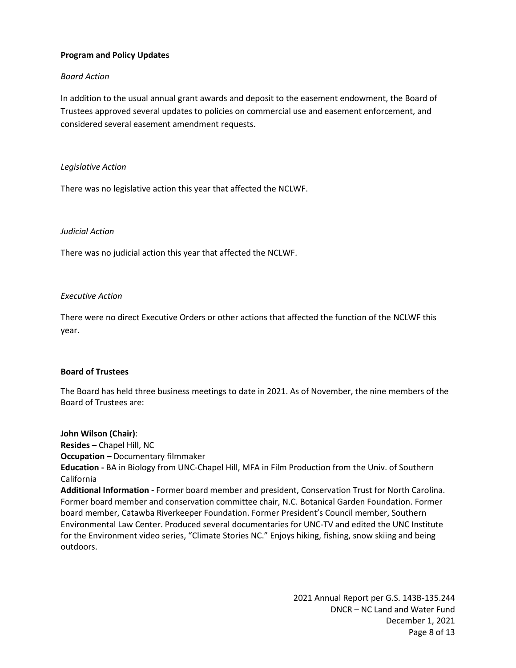## **Program and Policy Updates**

# *Board Action*

In addition to the usual annual grant awards and deposit to the easement endowment, the Board of Trustees approved several updates to policies on commercial use and easement enforcement, and considered several easement amendment requests.

## *Legislative Action*

There was no legislative action this year that affected the NCLWF.

## *Judicial Action*

There was no judicial action this year that affected the NCLWF.

## *Executive Action*

There were no direct Executive Orders or other actions that affected the function of the NCLWF this year.

## **Board of Trustees**

The Board has held three business meetings to date in 2021. As of November, the nine members of the Board of Trustees are:

**John Wilson (Chair)**: **Resides –** Chapel Hill, NC **Occupation –** Documentary filmmaker **Education -** BA in Biology from UNC-Chapel Hill, MFA in Film Production from the Univ. of Southern California **Additional Information -** Former board member and president, Conservation Trust for North Carolina. Former board member and conservation committee chair, N.C. Botanical Garden Foundation. Former board member, Catawba Riverkeeper Foundation. Former President's Council member, Southern Environmental Law Center. Produced several documentaries for UNC-TV and edited the UNC Institute for the Environment video series, "Climate Stories NC." Enjoys hiking, fishing, snow skiing and being outdoors.

> 2021 Annual Report per G.S. 143B-135.244 DNCR – NC Land and Water Fund December 1, 2021 Page 8 of 13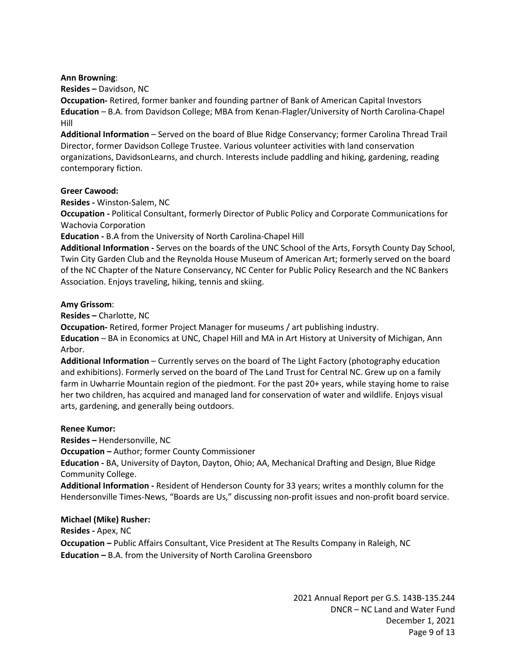#### **Ann Browning**:

**Resides –** Davidson, NC

**Occupation-** Retired, former banker and founding partner of Bank of American Capital Investors **Education** – B.A. from Davidson College; MBA from Kenan-Flagler/University of North Carolina-Chapel Hill

**Additional Information** – Served on the board of Blue Ridge Conservancy; former Carolina Thread Trail Director, former Davidson College Trustee. Various volunteer activities with land conservation organizations, DavidsonLearns, and church. Interests include paddling and hiking, gardening, reading contemporary fiction.

#### **Greer Cawood:**

**Resides -** Winston-Salem, NC

**Occupation -** Political Consultant, formerly Director of Public Policy and Corporate Communications for Wachovia Corporation

**Education -** B.A from the University of North Carolina-Chapel Hill

**Additional Information -** Serves on the boards of the UNC School of the Arts, Forsyth County Day School, Twin City Garden Club and the Reynolda House Museum of American Art; formerly served on the board of the NC Chapter of the Nature Conservancy, NC Center for Public Policy Research and the NC Bankers Association. Enjoys traveling, hiking, tennis and skiing.

#### **Amy Grissom**:

**Resides –** Charlotte, NC

**Occupation-** Retired, former Project Manager for museums / art publishing industry.

**Education** – BA in Economics at UNC, Chapel Hill and MA in Art History at University of Michigan, Ann Arbor.

**Additional Information** – Currently serves on the board of The Light Factory (photography education and exhibitions). Formerly served on the board of The Land Trust for Central NC. Grew up on a family farm in Uwharrie Mountain region of the piedmont. For the past 20+ years, while staying home to raise her two children, has acquired and managed land for conservation of water and wildlife. Enjoys visual arts, gardening, and generally being outdoors.

#### **Renee Kumor:**

**Resides –** Hendersonville, NC

**Occupation –** Author; former County Commissioner

**Education -** BA, University of Dayton, Dayton, Ohio; AA, Mechanical Drafting and Design, Blue Ridge Community College.

**Additional Information -** Resident of Henderson County for 33 years; writes a monthly column for the Hendersonville Times-News, "Boards are Us," discussing non-profit issues and non-profit board service.

## **Michael (Mike) Rusher:**

**Resides -** Apex, NC

**Occupation –** Public Affairs Consultant, Vice President at The Results Company in Raleigh, NC **Education –** B.A. from the University of North Carolina Greensboro

> 2021 Annual Report per G.S. 143B-135.244 DNCR – NC Land and Water Fund December 1, 2021 Page 9 of 13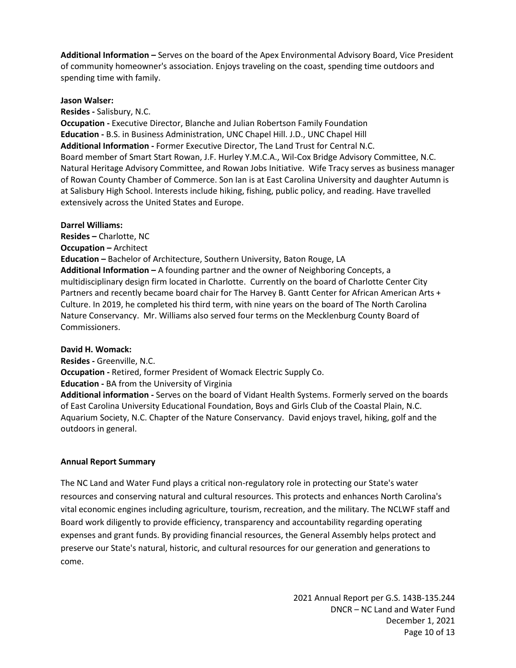**Additional Information –** Serves on the board of the Apex Environmental Advisory Board, Vice President of community homeowner's association. Enjoys traveling on the coast, spending time outdoors and spending time with family.

#### **Jason Walser:**

**Resides -** Salisbury, N.C.

**Occupation -** Executive Director, Blanche and Julian Robertson Family Foundation **Education -** B.S. in Business Administration, UNC Chapel Hill. J.D., UNC Chapel Hill **Additional Information -** Former Executive Director, The Land Trust for Central N.C. Board member of Smart Start Rowan, J.F. Hurley Y.M.C.A., Wil-Cox Bridge Advisory Committee, N.C. Natural Heritage Advisory Committee, and Rowan Jobs Initiative. Wife Tracy serves as business manager of Rowan County Chamber of Commerce. Son Ian is at East Carolina University and daughter Autumn is at Salisbury High School. Interests include hiking, fishing, public policy, and reading. Have travelled extensively across the United States and Europe.

#### **Darrel Williams:**

**Resides –** Charlotte, NC **Occupation –** Architect **Education –** Bachelor of Architecture, Southern University, Baton Rouge, LA **Additional Information –** A founding partner and the owner of Neighboring Concepts, a multidisciplinary design firm located in Charlotte. Currently on the board of Charlotte Center City Partners and recently became board chair for The Harvey B. Gantt Center for African American Arts + Culture. In 2019, he completed his third term, with nine years on the board of The North Carolina Nature Conservancy. Mr. Williams also served four terms on the Mecklenburg County Board of Commissioners.

## **David H. Womack:**

**Resides -** Greenville, N.C. **Occupation -** Retired, former President of Womack Electric Supply Co. **Education -** BA from the University of Virginia

**Additional information -** Serves on the board of Vidant Health Systems. Formerly served on the boards of East Carolina University Educational Foundation, Boys and Girls Club of the Coastal Plain, N.C. Aquarium Society, N.C. Chapter of the Nature Conservancy. David enjoys travel, hiking, golf and the outdoors in general.

## **Annual Report Summary**

The NC Land and Water Fund plays a critical non-regulatory role in protecting our State's water resources and conserving natural and cultural resources. This protects and enhances North Carolina's vital economic engines including agriculture, tourism, recreation, and the military. The NCLWF staff and Board work diligently to provide efficiency, transparency and accountability regarding operating expenses and grant funds. By providing financial resources, the General Assembly helps protect and preserve our State's natural, historic, and cultural resources for our generation and generations to come.

> 2021 Annual Report per G.S. 143B-135.244 DNCR – NC Land and Water Fund December 1, 2021 Page 10 of 13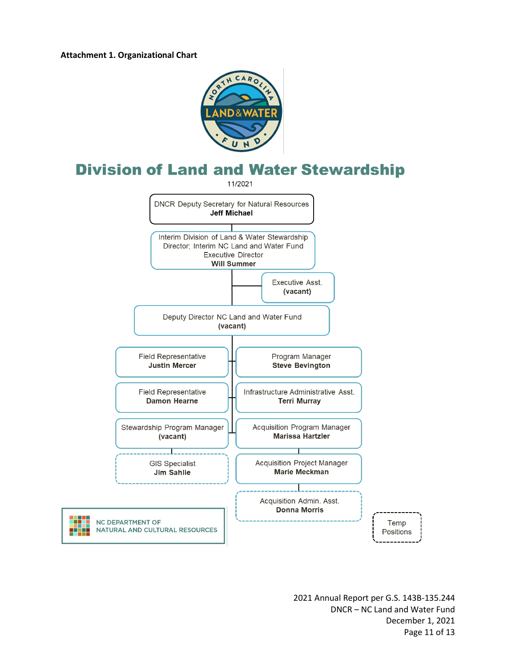ж



# **Division of Land and Water Stewardship**

11/2021



2021 Annual Report per G.S. 143B-135.244 DNCR – NC Land and Water Fund December 1, 2021 Page 11 of 13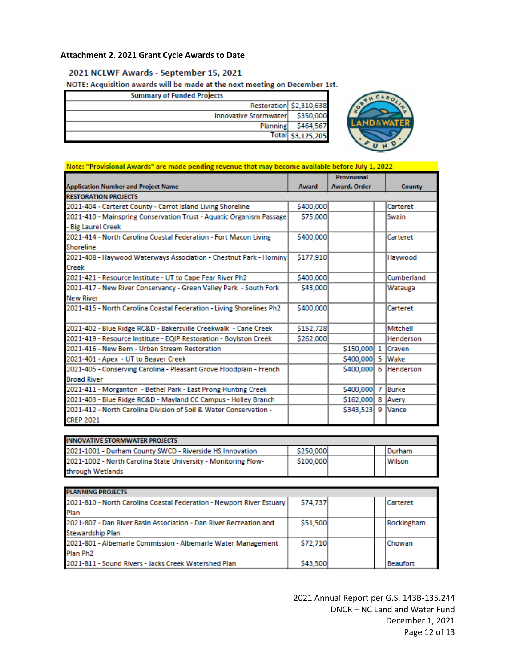# **Attachment 2. 2021 Grant Cycle Awards to Date**

#### 2021 NCLWF Awards - September 15, 2021

NOTE: Acquisition awards will be made at the next meeting on December 1st.

| <b>Summary of Funded Projects</b> |                         |
|-----------------------------------|-------------------------|
|                                   | Restoration \$2,310,638 |
| <b>Innovative Stormwater</b>      | \$350,000               |
| Planning                          | \$464,567               |
|                                   | Total \$3,125,205       |



| <b>Application Number and Project Name</b>                           |              | <b>Provisional</b><br>Award, Order |  |                  |
|----------------------------------------------------------------------|--------------|------------------------------------|--|------------------|
|                                                                      | <b>Award</b> |                                    |  | County           |
| <b>RESTORATION PROJECTS</b>                                          |              |                                    |  |                  |
| 2021-404 - Carteret County - Carrot Island Living Shoreline          | \$400,000    |                                    |  | Carteret         |
| 2021-410 - Mainspring Conservation Trust - Aquatic Organism Passage  | \$75,000     |                                    |  | Swain            |
| - Big Laurel Creek                                                   |              |                                    |  |                  |
| 2021-414 - North Carolina Coastal Federation - Fort Macon Living     | \$400,000    |                                    |  | Carteret         |
| Shoreline                                                            |              |                                    |  |                  |
| 2021-408 - Haywood Waterways Association - Chestnut Park - Hominy    | \$177,910    |                                    |  | Haywood          |
| Creek                                                                |              |                                    |  |                  |
| 2021-421 - Resource Institute - UT to Cape Fear River Ph2            | \$400,000    |                                    |  | Cumberland       |
| 2021-417 - New River Conservancy - Green Valley Park - South Fork    | \$43,000     |                                    |  | Watauga          |
| <b>New River</b>                                                     |              |                                    |  |                  |
| 2021-415 - North Carolina Coastal Federation - Living Shorelines Ph2 | \$400,000    |                                    |  | Carteret         |
|                                                                      |              |                                    |  |                  |
| 2021-402 - Blue Ridge RC&D - Bakersville Creekwalk - Cane Creek      | \$152,728    |                                    |  | Mitchell         |
| 2021-419 - Resource Institute - EQIP Restoration - Boylston Creek    | \$262,000    |                                    |  | Henderson        |
| 2021-416 - New Bern - Urban Stream Restoration                       |              | \$150,000 1                        |  | <b>Craven</b>    |
| 2021-401 - Apex - UT to Beaver Creek                                 |              | \$400,000 5                        |  | <b>Wake</b>      |
| 2021-405 - Conserving Carolina - Pleasant Grove Floodplain - French  |              | \$400,000 6                        |  | <b>Henderson</b> |
| <b>Broad River</b>                                                   |              |                                    |  |                  |
| 2021-411 - Morganton - Bethel Park - East Prong Hunting Creek        |              | \$400,000 7                        |  | Burke            |
| 2021-403 - Blue Ridge RC&D - Mayland CC Campus - Holley Branch       |              | \$162,000 8                        |  | Avery            |
| 2021-412 - North Carolina Division of Soil & Water Conservation -    |              | \$343,523 9                        |  | <b>Vance</b>     |
| <b>CREP 2021</b>                                                     |              |                                    |  |                  |

| <b>INNOVATIVE STORMWATER PROJECTS</b>                          |           |  |        |
|----------------------------------------------------------------|-----------|--|--------|
| 2021-1001 - Durham County SWCD - Riverside HS Innovation       | \$250,000 |  | Durham |
| 2021-1002 - North Carolina State University - Monitoring Flow- | \$100,000 |  | Wilson |
| through Wetlands                                               |           |  |        |

| <b>PLANNING PROJECTS</b>                                             |          |  |            |
|----------------------------------------------------------------------|----------|--|------------|
| 2021-810 - North Carolina Coastal Federation - Newport River Estuary | \$74,737 |  | Carteret   |
| Plan                                                                 |          |  |            |
| 2021-807 - Dan River Basin Association - Dan River Recreation and    | \$51,500 |  | Rockingham |
| <b>Stewardship Plan</b>                                              |          |  |            |
| 2021-801 - Albemarle Commission - Albemarle Water Management         | \$72,710 |  | Chowan     |
| Plan Ph <sub>2</sub>                                                 |          |  |            |
| 2021-811 - Sound Rivers - Jacks Creek Watershed Plan                 | \$43,500 |  | Beaufort   |